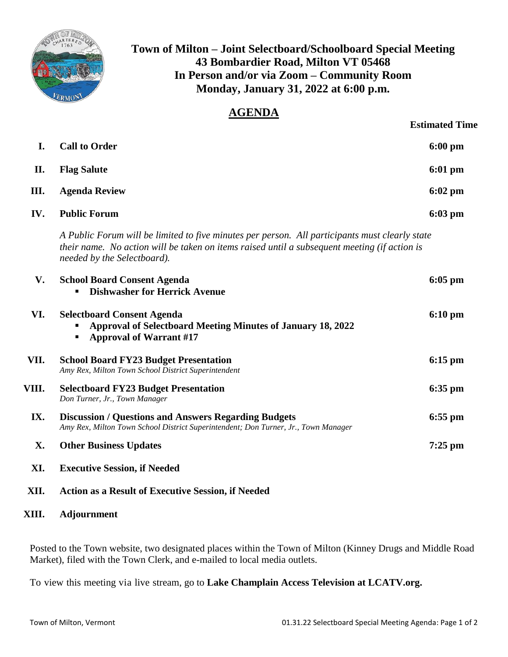

## **Town of Milton – Joint Selectboard/Schoolboard Special Meeting 43 Bombardier Road, Milton VT 05468 In Person and/or via Zoom – Community Room Monday, January 31, 2022 at 6:00 p.m.**

## **AGENDA**

|       |                                                                                                                                                                                                                               | <b>Estimated Time</b> |
|-------|-------------------------------------------------------------------------------------------------------------------------------------------------------------------------------------------------------------------------------|-----------------------|
| I.    | <b>Call to Order</b>                                                                                                                                                                                                          | $6:00$ pm             |
| II.   | <b>Flag Salute</b>                                                                                                                                                                                                            | $6:01$ pm             |
| III.  | <b>Agenda Review</b>                                                                                                                                                                                                          | $6:02$ pm             |
| IV.   | <b>Public Forum</b>                                                                                                                                                                                                           | $6:03$ pm             |
|       | A Public Forum will be limited to five minutes per person. All participants must clearly state<br>their name. No action will be taken on items raised until a subsequent meeting (if action is<br>needed by the Selectboard). |                       |
| V.    | <b>School Board Consent Agenda</b><br><b>Dishwasher for Herrick Avenue</b>                                                                                                                                                    | $6:05$ pm             |
| VI.   | <b>Selectboard Consent Agenda</b><br><b>Approval of Selectboard Meeting Minutes of January 18, 2022</b><br><b>Approval of Warrant #17</b><br>П                                                                                | $6:10 \text{ pm}$     |
| VII.  | <b>School Board FY23 Budget Presentation</b><br>Amy Rex, Milton Town School District Superintendent                                                                                                                           | $6:15$ pm             |
| VIII. | <b>Selectboard FY23 Budget Presentation</b><br>Don Turner, Jr., Town Manager                                                                                                                                                  | $6:35$ pm             |
| IX.   | <b>Discussion / Questions and Answers Regarding Budgets</b><br>Amy Rex, Milton Town School District Superintendent; Don Turner, Jr., Town Manager                                                                             | $6:55$ pm             |
| X.    | <b>Other Business Updates</b>                                                                                                                                                                                                 | $7:25$ pm             |
| XI.   | <b>Executive Session, if Needed</b>                                                                                                                                                                                           |                       |
| XII.  | <b>Action as a Result of Executive Session, if Needed</b>                                                                                                                                                                     |                       |

## **XIII. Adjournment**

Posted to the Town website, two designated places within the Town of Milton (Kinney Drugs and Middle Road Market), filed with the Town Clerk, and e-mailed to local media outlets.

To view this meeting via live stream, go to **Lake Champlain Access Television at LCATV.org.**